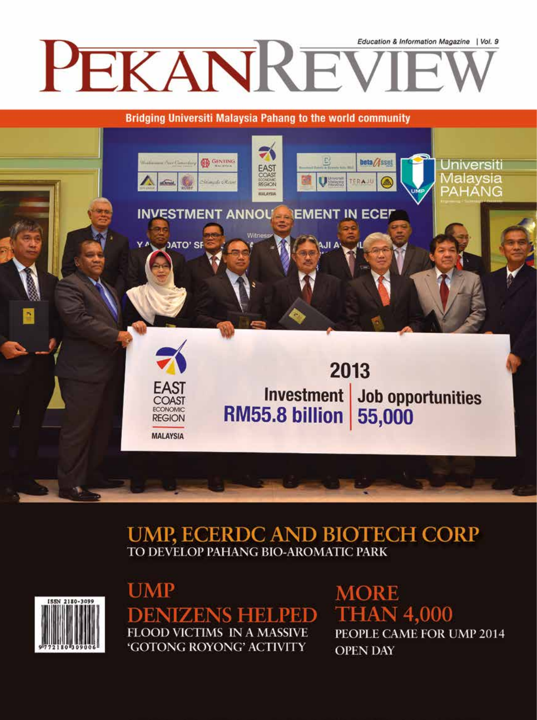

**Bridging Universiti Malaysia Pahang to the world community** 



## **UMP, ECERDC AND BIOTECH CORP** TO DEVELOP PAHANG BIO-AROMATIC PARK



**UMP DENIZENS HELPED FLOOD VICTIMS IN A MASSIVE** 'GOTONG ROYONG' ACTIVITY

**MORE THAN 4,000** PEOPLE CAME FOR UMP 2014 **OPEN DAY**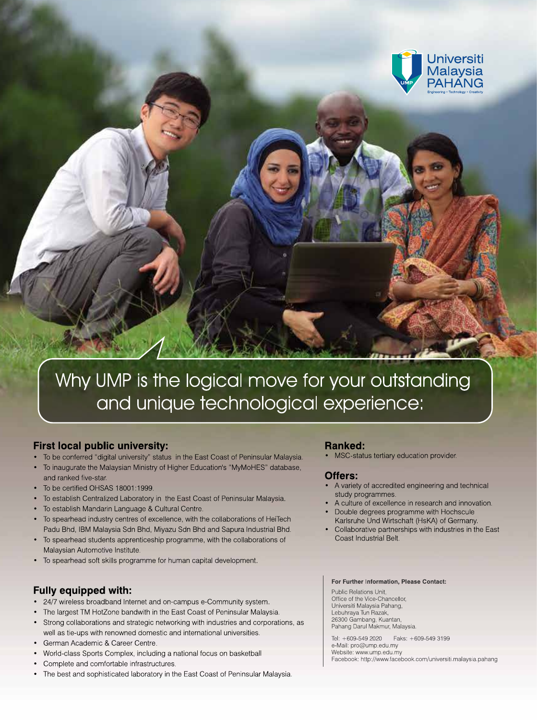

# Why UMP is the logical move for your outstanding and unique technological experience:

## **First local public university:**

- To be conferred "digital university" status in the East Coast of Peninsular Malaysia.  $\bullet$
- To inaugurate the Malaysian Ministry of Higher Education's "MyMoHES" database, and ranked five-star.
- To be certified OHSAS 18001:1999.
- To establish Centralized Laboratory in the East Coast of Peninsular Malaysia.
- To establish Mandarin Language & Cultural Centre.
- To spearhead industry centres of excellence, with the collaborations of HeiTech Padu Bhd, IBM Malaysia Sdn Bhd, Miyazu Sdn Bhd and Sapura Industrial Bhd.
- To spearhead students apprenticeship programme, with the collaborations of Malaysian Automotive Institute
- To spearhead soft skills programme for human capital development.

## **Fully equipped with:**

- 24/7 wireless broadband Internet and on-campus e-Community system.
- The largest TM HotZone bandwith in the East Coast of Peninsular Malaysia.
- Strong collaborations and strategic networking with industries and corporations, as well as tie-ups with renowned domestic and international universities.
- German Academic & Career Centre.  $\bullet$
- World-class Sports Complex, including a national focus on basketball
- Complete and comfortable infrastructures.
- The best and sophisticated laboratory in the East Coast of Peninsular Malaysia.

#### **Ranked:**

MSC-status tertiary education provider.

## Offers:

- A variety of accredited engineering and technical study programmes.
- A culture of excellence in research and innovation.
- Double degrees programme with Hochscule Karlsruhe Und Wirtschaft (HsKA) of Germany.
- Collaborative partnerships with industries in the East Coast Industrial Belt.

#### For Further Information. Please Contact:

Public Relations Unit, Office of the Vice-Chancellor, Universiti Malaysia Pahang,<br>Lebuhraya Tun Razak, 26300 Gambang, Kuantan,<br>Pahang Darul Makmur, Malaysia.

Tel: +609-549 2020 Faks: +609-549 3199 e-Mail: pro@ump.edu.my Website: www.ump.edu.my Facebook: http://www.facebook.com/universiti.malaysia.pahang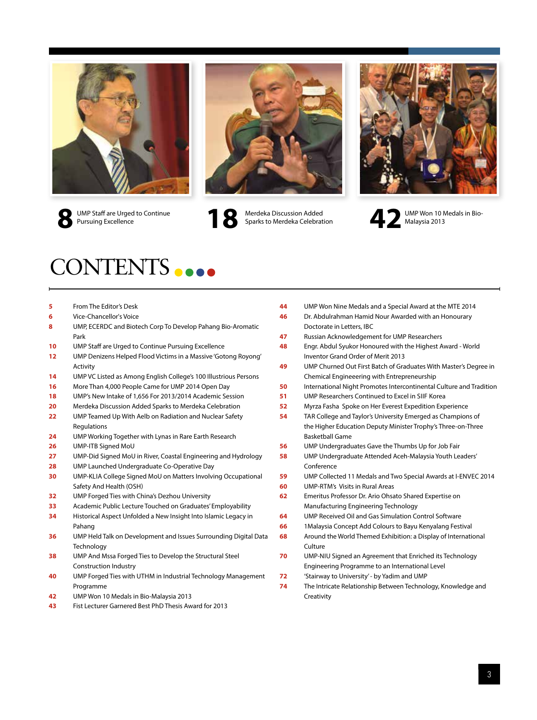



Merdeka Discussion Added Sparks to Merdeka Celebration UMP Staff are Urged to Continue<br>
Pursuing Excellence<br> **8 18** Merdeka Celebration<br> **18 18** Malaysia 2013<br> **18** Malaysia 2013





UMP Staff are Urged to Continue Pursuing Excellence

# CONTENTS **8888**

- From The Editor's Desk
- Vice-Chancellor's Voice
- 8 UMP, ECERDC and Biotech Corp To Develop Pahang Bio-Aromatic Park
- UMP Staff are Urged to Continue Pursuing Excellence
- UMP Denizens Helped Flood Victims in a Massive 'Gotong Royong' Activity
- UMP VC Listed as Among English College's 100 Illustrious Persons
- More Than 4,000 People Came for UMP 2014 Open Day
- UMP's New Intake of 1,656 For 2013/2014 Academic Session
- Merdeka Discussion Added Sparks to Merdeka Celebration
- UMP Teamed Up With Aelb on Radiation and Nuclear Safety Regulations
- UMP Working Together with Lynas in Rare Earth Research
- UMP-ITB Signed MoU
- UMP-Did Signed MoU in River, Coastal Engineering and Hydrology
- UMP Launched Undergraduate Co-Operative Day
- UMP-Klia College Signed MoU on Matters Involving Occupational Safety And Health (Osh)
- UMP Forged Ties with China's Dezhou University
- Academic Public Lecture Touched on Graduates' Employability
- Historical Aspect Unfolded a New Insight Into Islamic Legacy in Pahang
- UMP Held Talk on Development and Issues Surrounding Digital Data Technology
- UMP And Mssa Forged Ties to Develop the Structural Steel Construction Industry
- UMP Forged Ties with UTHM in Industrial Technology Management Programme
- UMP Won 10 Medals in Bio-Malaysia 2013
- Fist Lecturer Garnered Best PhD Thesis Award for 2013
- UMP Won Nine Medals and a Special Award at the MTE 2014
- Dr. Abdulrahman Hamid Nour Awarded with an Honourary Doctorate in Letters, Ibc
- Russian Acknowledgement for UMP Researchers
- Engr. Abdul Syukor Honoured with the Highest Award World Inventor Grand Order of Merit 2013
- UMP Churned Out First Batch of Graduates With Master's Degree in Chemical Engineeering with Entrepreneurship
- International Night Promotes Intercontinental Culture and Tradition
- UMP Researchers Continued to Excel in Siif Korea
- Myrza Fasha Spoke on Her Everest Expedition Experience
- TAR College and Taylor's University Emerged as Champions of the Higher Education Deputy Minister Trophy's Three-on-Three Basketball Game
- UMP Undergraduates Gave the Thumbs Up for Job Fair
- UMP Undergraduate Attended Aceh-Malaysia Youth Leaders' Conference
- UMP Collected 11 Medals and Two Special Awards at I-ENVEC 2014
- UMP-RTM's Visits in Rural Areas
- Emeritus Professor Dr. Ario Ohsato Shared Expertise on Manufacturing Engineering Technology
- UMP Received Oil and Gas Simulation Control Software
- 1Malaysia Concept Add Colours to Bayu Kenyalang Festival
- Around the World Themed Exhibition: a Display of International **Culture**
- UMP-NIU Signed an Agreement that Enriched its Technology Engineering Programme to an International Level
- 'Stairway to University' by Yadim and UMP
- The Intricate Relationship Between Technology, Knowledge and **Creativity**